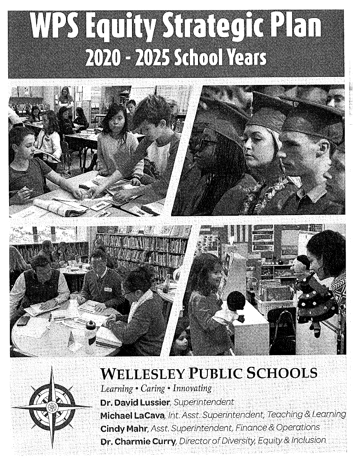# WPSFaultyStrategiePlan 2020 - 2025 School Years





# **WELLESLEY PUBLIC SCHOOLS**

*Learning• Caring· Innovating*  **Dr. David Lussier,** Superintendent **Michael Lacava,** Int.Asst. Superintendent, Teaching& Learning **Cindy Mahr**, Asst. Superintendent, Finance & Operations **Dr. Charmie Curry,** Director of Diversity, Equity & Inclusion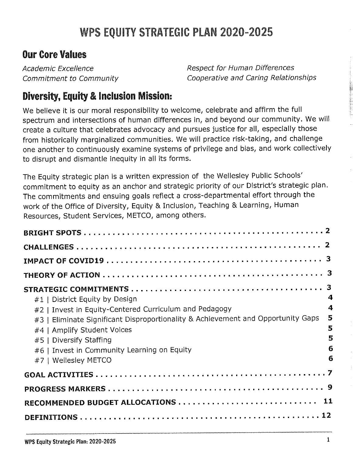# WPS EQUITY STRATEGIC PLAN 2020-2025

#### **Our Core Values**

Academic Excellence Commitment to Community Respect for Human Differences Cooperative and Caring Relationships

#### **Diversity, Equity** & **Inclusion Mission:**

We believe it is our moral responsibility to welcome, celebrate and affirm the full spectrum and intersections of human differences in, and beyond our community. We will create a culture that celebrates advocacy and pursues justice for all, especially those from historically marginalized communities. We will practice risk-taking, and challenge one another to continuously examine systems of privilege and bias, and work collectively to disrupt and dismantle inequity in all its forms.

The Equity strategic plan is a written expression of the Wellesley Public Schools' commitment to equity as an anchor and strategic priority of our District's strategic plan. The commitments and ensuing goals reflect a cross-departmental effort through the work of the Office of Diversity, Equity & Inclusion, Teaching & Learning, Human Resources, Student Services, METCO, among others.

| $#1$   District Equity by Design<br>#2   Invest in Equity-Centered Curriculum and Pedagogy<br>#3   Eliminate Significant Disproportionality & Achievement and Opportunity Gaps<br>#4   Amplify Student Voices<br>#5   Diversify Staffing<br>#6   Invest in Community Learning on Equity<br>#7   Wellesley METCO | 3<br>4<br>4<br>5<br>5<br>5<br>6<br>6 |
|-----------------------------------------------------------------------------------------------------------------------------------------------------------------------------------------------------------------------------------------------------------------------------------------------------------------|--------------------------------------|
|                                                                                                                                                                                                                                                                                                                 |                                      |
|                                                                                                                                                                                                                                                                                                                 |                                      |
|                                                                                                                                                                                                                                                                                                                 |                                      |
|                                                                                                                                                                                                                                                                                                                 |                                      |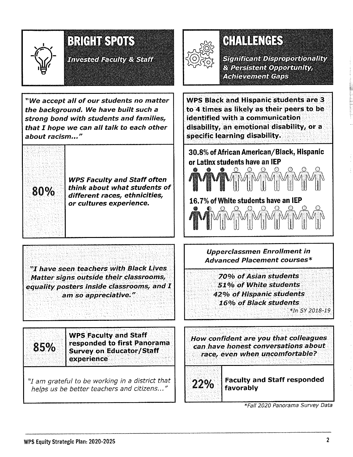

"We accept all of our students no matter the background. We have built such a strong bond with students and families, that I hope we can all talk to each other about racism..."



WPS Faculty and Staff often  $80\%$  think about what students of different races, ethnicities, or cultures experience.

"I have seen teachers with Black Lives Matter signs outside their classrooms, equality posters inside classrooms, and I am so appreciative."

# GHALLENGES

**Significant Disproportionality** & Persistent Opportunity, **Achievement Gaps** 

WPS Black and Hispanic students are 3 to 4 times as likely as their peers to be identified with a communication disability, an emotional disability, or a specific learning disability. .

30.8% of African American/Black, Hispanic or Latlnx students have an IEP



16. 7% of White students have an IEP to the property of the control of the control of the control of the control of the control of the control of t<br>The control of the control of the control of the control of the control of the control of the control of the c<br>

> Upperclassmen Enrollment in Advanced Placement courses\*

70% of Asian students 51 % of White students 42% of Hispanic students 16% of Black students

*\*In SY 2018-19* 

WPS Faculty and Staff 85% responded to first Panorama Survey on Educator/Staff experience

"I am grateful to be working in a district that helps us be better teachers and citizens..."

How confident are you that colleagues can have honest conversations about race, even when uncomfortable?

. .

.

 $22\%$  Faculty and Staff responded favorably

*\*Fall 2020 Panorama Survey Data*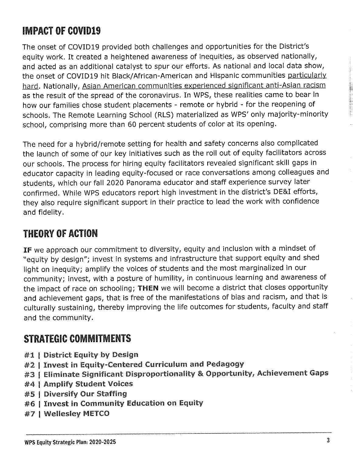### **IMPACT OF COVID19**

The onset of COV!D19 provided both challenges and opportunities for the District's equity work. It created a heightened awareness of inequities, as observed nationally, and acted as an additional catalyst to spur our efforts. As national and local data show, the onset of COVID19 hit Black/African-American and Hispanic communities particularly hard. Nationally, Asian American communities experienced significant anti-Asian racism as the result of the spread of the coronavirus. In WPS, these realities came to bear in how our families chose student placements - remote or hybrid - for the reopening of schools. The Remote Learning School (RLS) materialized as WPS' only majority-minority school, comprising more than 60 percent students of color at its opening.

The need for a hybrid/remote setting for health and safety concerns also complicated the launch of some of our key initiatives such as the roll out of equity facilitators across our schools. The process for hiring equity facilitators revealed significant skill gaps in educator capacity in leading equity-focused or race conversations among colleagues and students, which our fall 2020 Panorama educator and staff experience survey later confirmed. While WPS educators report high investment in the district's DE&I efforts, they also require significant support in their practice to lead the work with confidence and fidelity.

#### **THEORY OF ACTION**

**IF** we approach our commitment to diversity, equity and inclusion with a mindset of "equity by design"; invest in systems and infrastructure that support equity and shed light on inequity; amplify the voices of students and the most marginalized in our community; invest, with a posture of humility, in continuous learning and awareness of the impact of race on schooling; **THEN** we will become a district that closes opportunity and achievement gaps, that is free of the manifestations of bias and racism, and that is culturally sustaining, thereby improving the life outcomes for students, faculty and staff and the community.

#### **STRATEGIC COMMITMENTS**

- #1 | District Equity by Design
- #2 I Invest in Equity-Centered Curriculum and Pedagogy
- #3 | Eliminate Significant Disproportionality & Opportunity, Achievement Gaps
- #4 I Amplify Student Voices
- #5 I Diversify Our Staffing
- #6 I Invest in Community Education on Equity
- #7 I Wellesley METCO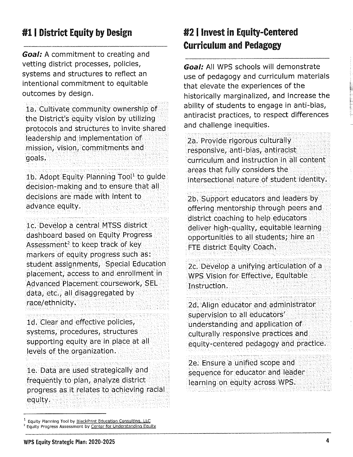#### #1 I District Equity by Design

**Goal:** A commitment to creating and vetting district processes, policies, systems and structures to reflect an intentional commitment to equitable outcomes by design.

la. Cultivate community ownership of the District's equity vision by utilizing protocols and structures to invite shared leadership and implementation of mission, vision, commitments and goals.

1b. Adopt Equity Planning Tool<sup>1</sup> to guide decision-making and to ensure that all decisions are made with intent to advance equity.

le. Develop a central MTSS district dashboard based on Equity Progress Assessment<sup>2</sup> to keep track of key markers of equity progress such as: student assignments, Special Education placement, access to and enrollment in Advanced Placement coursework, SEL data, etc., all disaggregated by race/ethnicity.

ld. Clear and effective policies, systems, procedures, structures supporting equity are in place at all levels of the organization.

le. Data are used strategically and frequently to plan, analyze district progress as it relates to achieving racial equity.

#### #2 I **Invest in Equity-Centered Curriculum and Pedagogy**

**Goal:** All WPS schools will demonstrate use of pedagogy and curriculum materials that elevate the experiences of the historically marginalized, and increase the ability of students to engage in anti-bias, antiracist practices, to respect differences and challenge inequities.

2a. Provide rigorous culturally responsive, anti-bias, antiracist curriculum and instruction in all content areas that fully considers the intersectional nature of student identity.

2b. Support educators and leaders by offering mentorship through peers and district coaching to help educators deliver high-quality, equitable learning opportunities to all students; hire an FTE district Equity Coach.

2c. Develop a unifying articulation of a WPS Vision for Effective, Equitable Instruction.

2d. Align educator and administrator supervision to all educators' understanding and application of culturally responsive practices and equity-centered pedagogy and practice.

2e. Ensure a unified scope and sequence for educator and leader learning on equity across WPS.

<sup>&</sup>lt;sup>1</sup> Equity Planning Too! by <u>BlackPrint Education Consulting, LLC</u><br><sup>2</sup> Equity Progress Assessment by <u>Center for Understanding Equity</u>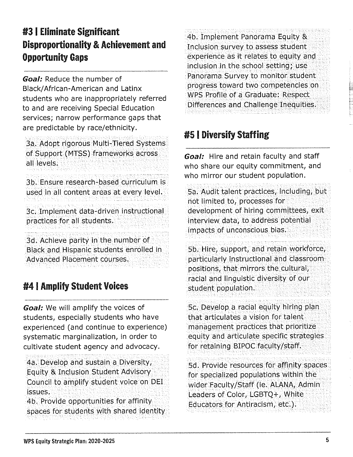#### #3 I Eliminate Significant Disproportionality & Achievement and Opportunity Gaps

**Goal:** Reduce the number of Black/ African-American and Latinx students who are inappropriately referred to and are receiving Special Education services; narrow performance gaps that are predictable by race/ethnicity.

3a. Adopt rigorous Multi-Tiered Systems of Support (MTSS) frameworks across all levels.

3b. Ensure research-based curriculum is used in all content areas at every level.

3c. Implement data-driven instructional practices for all students.

3d. Achieve parity in the number of Black and Hispanic students enrolled in Advanced Placement courses.

#### #4 I Amplify Student Voices

**Goal:** We will amplify the voices of students, especially students who have experienced (and continue to experience) systematic marginalization, in order to cultivate student agency and advocacy.

4a. Develop and sustain a Diversity, Equity & Inclusion Student Advisory Council to amplify student voice on DEI issues.

4b. Provide opportunities for affinity spaces for students with shared identity 4b. Implement Panorama Equity & Inclusion survey to assess student experience as it relates to equity and inclusion in the school setting; use Panorama Survey to monitor student· progress toward two competencies on WPS Profile of a Graduate: Respect Differences and Challenge Inequities,

#### #5 I Diversify Staffing

**Goal:** Hire and retain faculty and staff who share our equity commitment, and who mirror our student population.

Sa. Audit talent practices, including, but not limited to, processes for development of hiring committees, exit interview data, to address potential impacts of unconscious bias.

Sb. Hire, support, and retain workforce, particularly instructional and classroom positions, that mirrors the cultural, racial and linguistic diversity of our student population.

5c. Develop a racial equity hiring plan that articulates a vision for talent management practices that prioritize equity and articulate specific strategies for retaining BIPOC faculty/staff.

Sd. Provide resources for affinity spaces for specialized populations within the wider Faculty/Staff (ie. ALANA, Admin) Leaders of Color, LGBTQ+, White Educators for Antiracism, etc.).